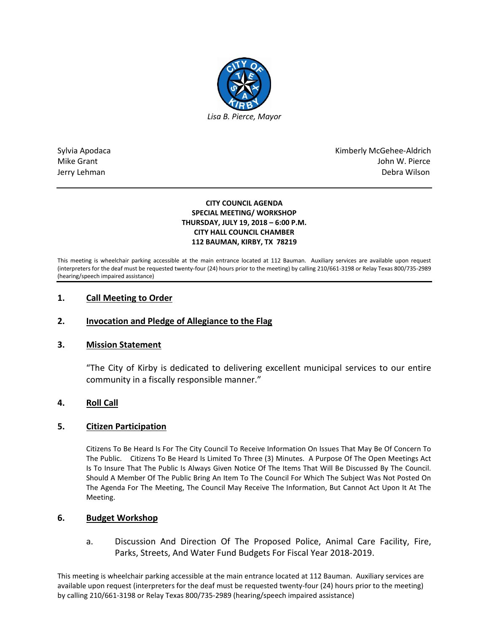

Sylvia Apodaca National Apodaca Kimberly McGehee-Aldrich Mike Grant John W. Pierce Jerry Lehman Debra Wilson

#### **CITY COUNCIL AGENDA SPECIAL MEETING/ WORKSHOP THURSDAY, JULY 19, 2018 – 6:00 P.M. CITY HALL COUNCIL CHAMBER 112 BAUMAN, KIRBY, TX 78219**

This meeting is wheelchair parking accessible at the main entrance located at 112 Bauman. Auxiliary services are available upon request (interpreters for the deaf must be requested twenty-four (24) hours prior to the meeting) by calling 210/661-3198 or Relay Texas 800/735-2989 (hearing/speech impaired assistance)

# **1. Call Meeting to Order**

# **2. Invocation and Pledge of Allegiance to the Flag**

# **3. Mission Statement**

"The City of Kirby is dedicated to delivering excellent municipal services to our entire community in a fiscally responsible manner."

# **4. Roll Call**

#### **5. Citizen Participation**

Citizens To Be Heard Is For The City Council To Receive Information On Issues That May Be Of Concern To The Public. Citizens To Be Heard Is Limited To Three (3) Minutes. A Purpose Of The Open Meetings Act Is To Insure That The Public Is Always Given Notice Of The Items That Will Be Discussed By The Council. Should A Member Of The Public Bring An Item To The Council For Which The Subject Was Not Posted On The Agenda For The Meeting, The Council May Receive The Information, But Cannot Act Upon It At The Meeting.

#### **6. Budget Workshop**

a. Discussion And Direction Of The Proposed Police, Animal Care Facility, Fire, Parks, Streets, And Water Fund Budgets For Fiscal Year 2018-2019.

This meeting is wheelchair parking accessible at the main entrance located at 112 Bauman. Auxiliary services are available upon request (interpreters for the deaf must be requested twenty-four (24) hours prior to the meeting) by calling 210/661-3198 or Relay Texas 800/735-2989 (hearing/speech impaired assistance)